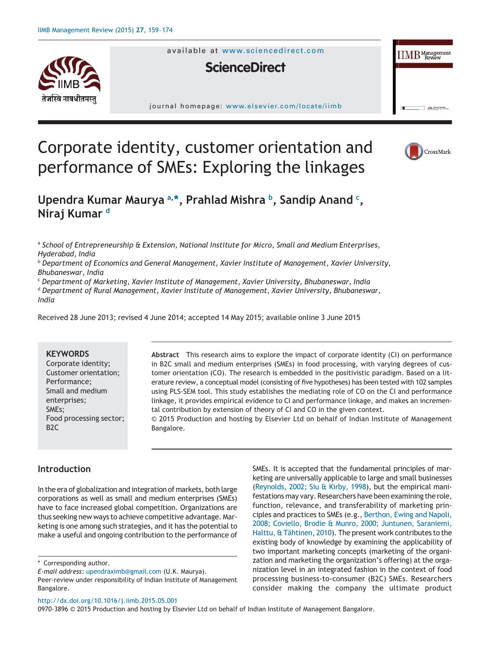

available at www.sciencedirect.com

# **ScienceDirect**

journal homepage: www.elsevier.com/locate/iimb



 $\Box$ earm

**IIMB** Managemen

# Corporate identity, customer orientation and performance of SMEs: Exploring the linkages

**Upendra Kumar Maurya a, \*, Prahlad Mishra <sup>b</sup> , Sandip Anand <sup>c</sup> , Niraj Kumar <sup>d</sup>**

a *School of Entrepreneurship & Extension, National Institute for Micro, Small and Medium Enterprises, Hyderabad, India*

<sup>b</sup> *Department of Economics and General Management, Xavier Institute of Management, Xavier University, Bhubaneswar, India*

<sup>c</sup> *Department of Marketing, Xavier Institute of Management, Xavier University, Bhubaneswar, India* <sup>d</sup> *Department of Rural Management, Xavier Institute of Management, Xavier University, Bhubaneswar, India*

Received 28 June 2013; revised 4 June 2014; accepted 14 May 2015; available online 3 June 2015

### **KEYWORDS**

Corporate identity; Customer orientation; Performance; Small and medium enterprises; SMEs; Food processing sector; B2C

**Abstract** This research aims to explore the impact of corporate identity (CI) on performance in B2C small and medium enterprises (SMEs) in food processing, with varying degrees of customer orientation (CO). The research is embedded in the positivistic paradigm. Based on a literature review, a conceptual model (consisting of five hypotheses) has been tested with 102 samples using PLS-SEM tool. This study establishes the mediating role of CO on the CI and performance linkage, it provides empirical evidence to CI and performance linkage, and makes an incremental contribution by extension of theory of CI and CO in the given context.

© 2015 Production and hosting by Elsevier Ltd on behalf of Indian Institute of Management Bangalore.

# **Introduction**

In the era of globalization and integration of markets, both large corporations as well as small and medium enterprises (SMEs) have to face increased global competition. Organizations are thus seeking new ways to achieve competitive advantage. Marketing is one among such strategies, and it has the potential to make a useful and ongoing contribution to the performance of

\* Corresponding author.

keting are universally applicable to large and small businesses (Reynolds, 2002; Siu & Kirby, 1998), but the empirical manifestations may vary. Researchers have been examining the role, function, relevance, and transferability of marketing principles and practices to SMEs (e.g., Berthon, Ewing and Napoli, 2008; Coviello, Brodie & Munro, 2000; Juntunen, Saraniemi, Halttu, & Tähtinen, 2010). The present work contributes to the existing body of knowledge by examining the applicability of two important marketing concepts (marketing of the organization and marketing the organization's offering) at the organization level in an integrated fashion in the context of food processing business-to-consumer (B2C) SMEs. Researchers consider making the company the ultimate product

SMEs. It is accepted that the fundamental principles of mar-

# http://dx.doi.org/10.1016/j.iimb.2015.05.001

0970-3896 © 2015 Production and hosting by Elsevier Ltd on behalf of Indian Institute of Management Bangalore.

*E-mail address:* upendraximb@gmail.com (U.K. Maurya).

Peer-review under responsibility of Indian Institute of Management Bangalore.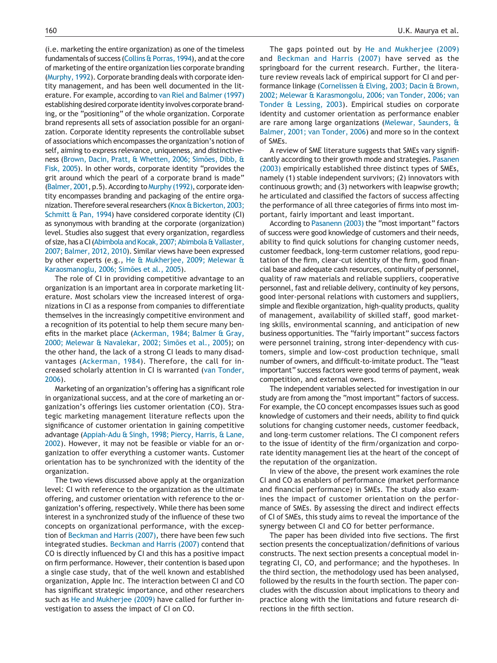(i.e. marketing the entire organization) as one of the timeless fundamentals of success (Collins & Porras, 1994), and at the core of marketing of the entire organization lies corporate branding (Murphy, 1992). Corporate branding deals with corporate identity management, and has been well documented in the literature. For example, according to van Riel and Balmer (1997) establishing desired corporate identity involves corporate branding, or the "positioning" of the whole organization. Corporate brand represents all sets of association possible for an organization. Corporate identity represents the controllable subset of associations which encompasses the organization's notion of self, aiming to express relevance, uniqueness, and distinctiveness (Brown, Dacin, Pratt, & Whetten, 2006; Simões, Dibb, & Fisk, 2005). In other words, corporate identity "provides the grit around which the pearl of a corporate brand is made" (Balmer, 2001, p.5). According to Murphy (1992), corporate identity encompasses branding and packaging of the entire organization. Therefore several researchers (Knox & Bickerton, 2003; Schmitt & Pan, 1994) have considered corporate identity (CI) as synonymous with branding at the corporate (organization) level. Studies also suggest that every organization, regardless of size, has a CI (Abimbola and Kocak, 2007; Abimbola & Vallaster, 2007; Balmer, 2012, 2010). Similar views have been expressed by other experts (e.g., He & Mukherjee, 2009; Melewar & Karaosmanoglu, 2006; Simões et al., 2005).

The role of CI in providing competitive advantage to an organization is an important area in corporate marketing literature. Most scholars view the increased interest of organizations in CI as a response from companies to differentiate themselves in the increasingly competitive environment and a recognition of its potential to help them secure many benefits in the market place (Ackerman, 1984; Balmer & Gray, 2000; Melewar & Navalekar, 2002; Simões et al., 2005); on the other hand, the lack of a strong CI leads to many disadvantages (Ackerman, 1984). Therefore, the call for increased scholarly attention in CI is warranted (van Tonder, 2006).

Marketing of an organization's offering has a significant role in organizational success, and at the core of marketing an organization's offerings lies customer orientation (CO). Strategic marketing management literature reflects upon the significance of customer orientation in gaining competitive advantage (Appiah-Adu & Singh, 1998; Piercy, Harris, & Lane, 2002). However, it may not be feasible or viable for an organization to offer everything a customer wants. Customer orientation has to be synchronized with the identity of the organization.

The two views discussed above apply at the organization level: CI with reference to the organization as the ultimate offering, and customer orientation with reference to the organization's offering, respectively. While there has been some interest in a synchronized study of the influence of these two concepts on organizational performance, with the exception of Beckman and Harris (2007), there have been few such integrated studies. Beckman and Harris (2007) contend that CO is directly influenced by CI and this has a positive impact on firm performance. However, their contention is based upon a single case study, that of the well known and established organization, Apple Inc. The interaction between CI and CO has significant strategic importance, and other researchers such as He and Mukherjee (2009) have called for further investigation to assess the impact of CI on CO.

The gaps pointed out by He and Mukherjee (2009) and Beckman and Harris (2007) have served as the springboard for the current research. Further, the literature review reveals lack of empirical support for CI and performance linkage (Cornelissen & Elving, 2003; Dacin & Brown, 2002; Melewar & Karasmongolu, 2006; van Tonder, 2006; van Tonder & Lessing, 2003). Empirical studies on corporate identity and customer orientation as performance enabler are rare among large organizations (Melewar, Saunders, & Balmer, 2001; van Tonder, 2006) and more so in the context of SMEs.

A review of SME literature suggests that SMEs vary significantly according to their growth mode and strategies. Pasanen (2003) empirically established three distinct types of SMEs, namely (1) stable independent survivors; (2) innovators with continuous growth; and (3) networkers with leapwise growth; he articulated and classified the factors of success affecting the performance of all three categories of firms into most important, fairly important and least important.

According to Pasanenn (2003) the "most important" factors of success were good knowledge of customers and their needs, ability to find quick solutions for changing customer needs, customer feedback, long-term customer relations, good reputation of the firm, clear-cut identity of the firm, good financial base and adequate cash resources, continuity of personnel, quality of raw materials and reliable suppliers, cooperative personnel, fast and reliable delivery, continuity of key persons, good inter-personal relations with customers and suppliers, simple and flexible organization, high-quality products, quality of management, availability of skilled staff, good marketing skills, environmental scanning, and anticipation of new business opportunities. The "fairly important" success factors were personnel training, strong inter-dependency with customers, simple and low-cost production technique, small number of owners, and difficult-to-imitate product. The "least important" success factors were good terms of payment, weak competition, and external owners.

The independent variables selected for investigation in our study are from among the "most important" factors of success. For example, the CO concept encompasses issues such as good knowledge of customers and their needs, ability to find quick solutions for changing customer needs, customer feedback, and long-term customer relations. The CI component refers to the issue of identity of the firm/organization and corporate identity management lies at the heart of the concept of the reputation of the organization.

In view of the above, the present work examines the role CI and CO as enablers of performance (market performance and financial performance) in SMEs. The study also examines the impact of customer orientation on the performance of SMEs. By assessing the direct and indirect effects of CI of SMEs, this study aims to reveal the importance of the synergy between CI and CO for better performance.

The paper has been divided into five sections. The first section presents the conceptualization/definitions of various constructs. The next section presents a conceptual model integrating CI, CO, and performance; and the hypotheses. In the third section, the methodology used has been analysed, followed by the results in the fourth section. The paper concludes with the discussion about implications to theory and practice along with the limitations and future research directions in the fifth section.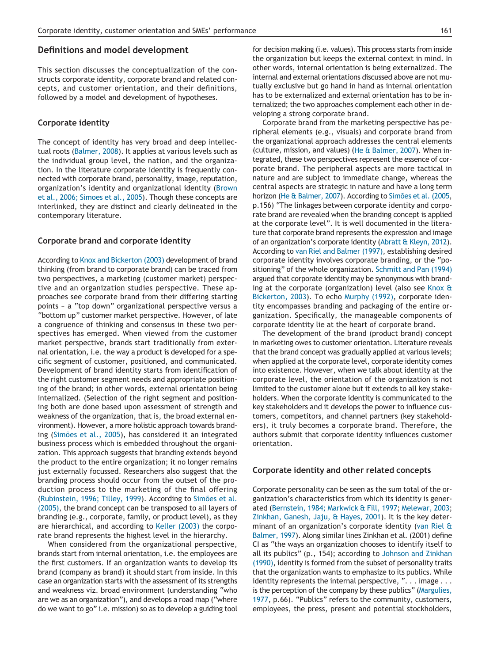### **Definitions and model development**

This section discusses the conceptualization of the constructs corporate identity, corporate brand and related concepts, and customer orientation, and their definitions, followed by a model and development of hypotheses.

## **Corporate identity**

The concept of identity has very broad and deep intellectual roots (Balmer, 2008). It applies at various levels such as the individual group level, the nation, and the organization. In the literature corporate identity is frequently connected with corporate brand, personality, image, reputation, organization's identity and organizational identity (Brown et al., 2006; Simoes et al., 2005). Though these concepts are interlinked, they are distinct and clearly delineated in the contemporary literature.

## **Corporate brand and corporate identity**

According to Knox and Bickerton (2003) development of brand thinking (from brand to corporate brand) can be traced from two perspectives, a marketing (customer market) perspective and an organization studies perspective. These approaches see corporate brand from their differing starting points – a "top down" organizational perspective versus a "bottom up" customer market perspective. However, of late a congruence of thinking and consensus in these two perspectives has emerged. When viewed from the customer market perspective, brands start traditionally from external orientation, i.e. the way a product is developed for a specific segment of customer, positioned, and communicated. Development of brand identity starts from identification of the right customer segment needs and appropriate positioning of the brand; in other words, external orientation being internalized. (Selection of the right segment and positioning both are done based upon assessment of strength and weakness of the organization, that is, the broad external environment). However, a more holistic approach towards branding (Simões et al., 2005), has considered it an integrated business process which is embedded throughout the organization. This approach suggests that branding extends beyond the product to the entire organization; it no longer remains just externally focussed. Researchers also suggest that the branding process should occur from the outset of the production process to the marketing of the final offering (Rubinstein, 1996; Tilley, 1999). According to Simões et al. (2005), the brand concept can be transposed to all layers of branding (e.g., corporate, family, or product level), as they are hierarchical, and according to Keller (2003) the corporate brand represents the highest level in the hierarchy.

When considered from the organizational perspective, brands start from internal orientation, i.e. the employees are the first customers. If an organization wants to develop its brand (company as brand) it should start from inside. In this case an organization starts with the assessment of its strengths and weakness viz. broad environment (understanding "who are we as an organization"), and develops a road map ("where do we want to go" i.e. mission) so as to develop a guiding tool for decision making (i.e. values). This process starts from inside the organization but keeps the external context in mind. In other words, internal orientation is being externalized. The internal and external orientations discussed above are not mutually exclusive but go hand in hand as internal orientation has to be externalized and external orientation has to be internalized; the two approaches complement each other in developing a strong corporate brand.

Corporate brand from the marketing perspective has peripheral elements (e.g., visuals) and corporate brand from the organizational approach addresses the central elements (culture, mission, and values) (He & Balmer, 2007). When integrated, these two perspectives represent the essence of corporate brand. The peripheral aspects are more tactical in nature and are subject to immediate change, whereas the central aspects are strategic in nature and have a long term horizon (He & Balmer, 2007). According to Simões et al. (2005, p.156) "The linkages between corporate identity and corporate brand are revealed when the branding concept is applied at the corporate level". It is well documented in the literature that corporate brand represents the expression and image of an organization's corporate identity (Abratt & Kleyn, 2012). According to van Riel and Balmer (1997), establishing desired corporate identity involves corporate branding, or the "positioning" of the whole organization. Schmitt and Pan (1994) argued that corporate identity may be synonymous with branding at the corporate (organization) level (also see Knox & Bickerton, 2003). To echo Murphy (1992), corporate identity encompasses branding and packaging of the entire organization. Specifically, the manageable components of corporate identity lie at the heart of corporate brand.

The development of the brand (product brand) concept in marketing owes to customer orientation. Literature reveals that the brand concept was gradually applied at various levels; when applied at the corporate level, corporate identity comes into existence. However, when we talk about identity at the corporate level, the orientation of the organization is not limited to the customer alone but it extends to all key stakeholders. When the corporate identity is communicated to the key stakeholders and it develops the power to influence customers, competitors, and channel partners (key stakeholders), it truly becomes a corporate brand. Therefore, the authors submit that corporate identity influences customer orientation.

#### **Corporate identity and other related concepts**

Corporate personality can be seen as the sum total of the organization's characteristics from which its identity is generated (Bernstein, 1984; Markwick & Fill, 1997; Melewar, 2003; Zinkhan, Ganesh, Jaju, & Hayes, 2001). It is the key determinant of an organization's corporate identity (van Riel & Balmer, 1997). Along similar lines Zinkhan et al. (2001) define CI as "the ways an organization chooses to identify itself to all its publics" (p., 154); according to Johnson and Zinkhan (1990), identity is formed from the subset of personality traits that the organization wants to emphasize to its publics. While identity represents the internal perspective, ". . . image . . . is the perception of the company by these publics" (Margulies, 1977, p.66). "Publics" refers to the community, customers, employees, the press, present and potential stockholders,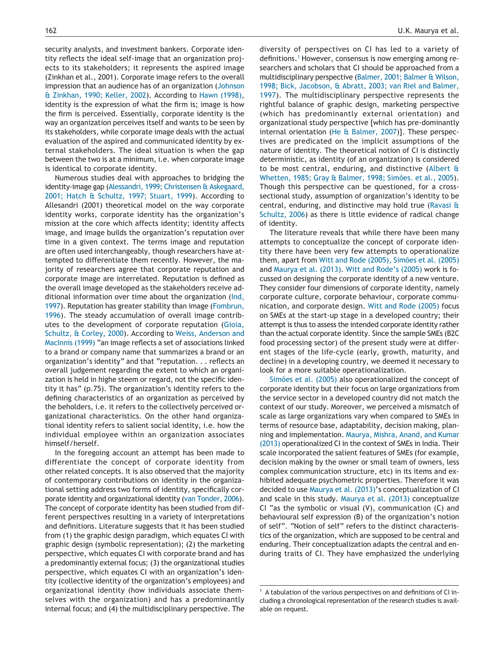security analysts, and investment bankers. Corporate identity reflects the ideal self-image that an organization projects to its stakeholders; it represents the aspired image (Zinkhan et al., 2001). Corporate image refers to the overall impression that an audience has of an organization (Johnson & Zinkhan, 1990; Keller, 2002). According to Hawn (1998), identity is the expression of what the firm is; image is how the firm is perceived. Essentially, corporate identity is the way an organization perceives itself and wants to be seen by its stakeholders, while corporate image deals with the actual evaluation of the aspired and communicated identity by external stakeholders. The ideal situation is when the gap between the two is at a minimum, i.e. when corporate image is identical to corporate identity.

Numerous studies deal with approaches to bridging the identity-image gap (Alessandri, 1999; Christensen & Askegaard, 2001; Hatch & Schultz, 1997; Stuart, 1999). According to Allesandri (2001) theoretical model on the way corporate identity works, corporate identity has the organization's mission at the core which affects identity; identity affects image, and image builds the organization's reputation over time in a given context. The terms image and reputation are often used interchangeably, though researchers have attempted to differentiate them recently. However, the majority of researchers agree that corporate reputation and corporate image are interrelated. Reputation is defined as the overall image developed as the stakeholders receive additional information over time about the organization (Ind, 1997). Reputation has greater stability than image (Fombrun, 1996). The steady accumulation of overall image contributes to the development of corporate reputation (Gioia, Schultz, & Corley, 2000). According to Weiss, Anderson and MacInnis (1999) "an image reflects a set of associations linked to a brand or company name that summarizes a brand or an organization's identity" and that "reputation. . . reflects an overall judgement regarding the extent to which an organization is held in highe steem or regard, not the specific identity it has" (p.75). The organization's identity refers to the defining characteristics of an organization as perceived by the beholders, i.e. it refers to the collectively perceived organizational characteristics. On the other hand organizational identity refers to salient social identity, i.e. how the individual employee within an organization associates himself/herself.

In the foregoing account an attempt has been made to differentiate the concept of corporate identity from other related concepts. It is also observed that the majority of contemporary contributions on identity in the organizational setting address two forms of identity, specifically corporate identity and organizational identity (van Tonder, 2006). The concept of corporate identity has been studied from different perspectives resulting in a variety of interpretations and definitions. Literature suggests that it has been studied from (1) the graphic design paradigm, which equates CI with graphic design (symbolic representation); (2) the marketing perspective, which equates CI with corporate brand and has a predominantly external focus; (3) the organizational studies perspective, which equates CI with an organization's identity (collective identity of the organization's employees) and organizational identity (how individuals associate themselves with the organization) and has a predominantly internal focus; and (4) the multidisciplinary perspective. The

diversity of perspectives on CI has led to a variety of definitions.<sup>1</sup> However, consensus is now emerging among researchers and scholars that CI should be approached from a multidisciplinary perspective (Balmer, 2001; Balmer & Wilson, 1998; Bick, Jacobson, & Abratt, 2003; van Riel and Balmer, 1997). The multidisciplinary perspective represents the rightful balance of graphic design, marketing perspective (which has predominantly external orientation) and organizational study perspective [which has pre-dominantly internal orientation (He & Balmer, 2007)]. These perspectives are predicated on the implicit assumptions of the nature of identity. The theoretical notion of CI is distinctly deterministic, as identity (of an organization) is considered to be most central, enduring, and distinctive (Albert & Whetten, 1985; Gray & Balmer, 1998; Simões. et al., 2005). Though this perspective can be questioned, for a crosssectional study, assumption of organization's identity to be central, enduring, and distinctive may hold true (Ravasi & Schultz, 2006) as there is little evidence of radical change of identity.

The literature reveals that while there have been many attempts to conceptualize the concept of corporate identity there have been very few attempts to operationalize them, apart from Witt and Rode (2005), Simões et al. (2005) and Maurya et al. (2013). Witt and Rode's (2005) work is focussed on designing the corporate identity of a new venture. They consider four dimensions of corporate identity, namely corporate culture, corporate behaviour, corporate communication, and corporate design. Witt and Rode (2005) focus on SMEs at the start-up stage in a developed country; their attempt is thus to assess the intended corporate identity rather than the actual corporate identity. Since the sample SMEs (B2C food processing sector) of the present study were at different stages of the life-cycle (early, growth, maturity, and decline) in a developing country, we deemed it necessary to look for a more suitable operationalization.

Simões et al. (2005) also operationalized the concept of corporate identity but their focus on large organizations from the service sector in a developed country did not match the context of our study. Moreover, we perceived a mismatch of scale as large organizations vary when compared to SMEs in terms of resource base, adaptability, decision making, planning and implementation. Maurya, Mishra, Anand, and Kumar (2013) operationalized CI in the context of SMEs in India. Their scale incorporated the salient features of SMEs (for example, decision making by the owner or small team of owners, less complex communication structure, etc) in its items and exhibited adequate psychometric properties. Therefore it was decided to use Maurya et al. (2013)'s conceptualization of CI and scale in this study. Maurya et al. (2013) conceptualize CI "as the symbolic or visual (V), communication (C) and behavioural self expression (B) of the organization's notion of self". "Notion of self" refers to the distinct characteristics of the organization, which are supposed to be central and enduring. Their conceptualization adapts the central and enduring traits of CI. They have emphasized the underlying

 $1$  A tabulation of the various perspectives on and definitions of CI including a chronological representation of the research studies is available on request.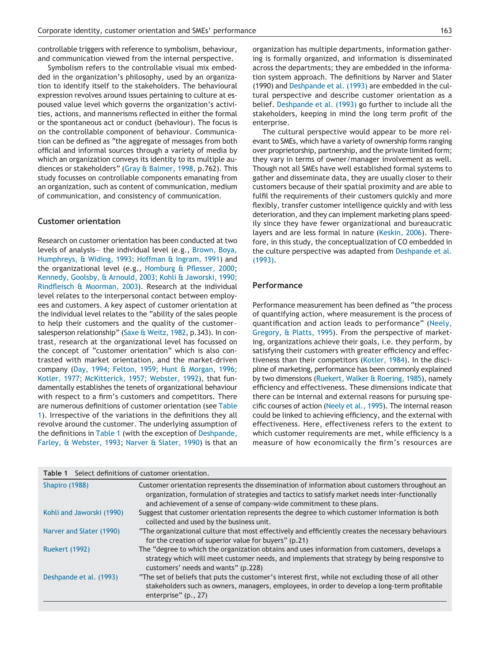controllable triggers with reference to symbolism, behaviour, and communication viewed from the internal perspective.

Symbolism refers to the controllable visual mix embedded in the organization's philosophy, used by an organization to identify itself to the stakeholders. The behavioural expression revolves around issues pertaining to culture at espoused value level which governs the organization's activities, actions, and mannerisms reflected in either the formal or the spontaneous act or conduct (behaviour). The focus is on the controllable component of behaviour. Communication can be defined as "the aggregate of messages from both official and informal sources through a variety of media by which an organization conveys its identity to its multiple audiences or stakeholders" (Gray & Balmer, 1998, p.762). This study focusses on controllable components emanating from an organization, such as content of communication, medium of communication, and consistency of communication.

# **Customer orientation**

Research on customer orientation has been conducted at two levels of analysis— the individual level (e.g., Brown, Boya, Humphreys, & Widing, 1993; Hoffman & Ingram, 1991) and the organizational level (e.g., Homburg & Pflesser, 2000; Kennedy, Goolsby, & Arnould, 2003; Kohli & Jaworski, 1990; Rindfleisch & Moorman, 2003). Research at the individual level relates to the interpersonal contact between employees and customers. A key aspect of customer orientation at the individual level relates to the "ability of the sales people to help their customers and the quality of the customer– salesperson relationship" (Saxe & Weitz, 1982, p.343). In contrast, research at the organizational level has focussed on the concept of "customer orientation" which is also contrasted with market orientation, and the market-driven company (Day, 1994; Felton, 1959; Hunt & Morgan, 1996; Kotler, 1977; McKitterick, 1957; Webster, 1992), that fundamentally establishes the tenets of organizational behaviour with respect to a firm's customers and competitors. There are numerous definitions of customer orientation (see Table 1). Irrespective of the variations in the definitions they all revolve around the customer. The underlying assumption of the definitions in Table 1 (with the exception of Deshpande, Farley, & Webster, 1993; Narver & Slater, 1990) is that an organization has multiple departments, information gathering is formally organized, and information is disseminated across the departments; they are embedded in the information system approach. The definitions by Narver and Slater (1990) and Deshpande et al. (1993) are embedded in the cultural perspective and describe customer orientation as a belief. Deshpande et al. (1993) go further to include all the stakeholders, keeping in mind the long term profit of the enterprise.

The cultural perspective would appear to be more relevant to SMEs, which have a variety of ownership forms ranging over proprietorship, partnership, and the private limited form; they vary in terms of owner/manager involvement as well. Though not all SMEs have well established formal systems to gather and disseminate data, they are usually closer to their customers because of their spatial proximity and are able to fulfil the requirements of their customers quickly and more flexibly, transfer customer intelligence quickly and with less deterioration, and they can implement marketing plans speedily since they have fewer organizational and bureaucratic layers and are less formal in nature (Keskin, 2006). Therefore, in this study, the conceptualization of CO embedded in the culture perspective was adapted from Deshpande et al. (1993).

# **Performance**

Performance measurement has been defined as "the process of quantifying action, where measurement is the process of quantification and action leads to performance" (Neely, Gregory, & Platts, 1995). From the perspective of marketing, organizations achieve their goals, i.e. they perform, by satisfying their customers with greater efficiency and effectiveness than their competitors (Kotler, 1984). In the discipline of marketing, performance has been commonly explained by two dimensions (Ruekert, Walker & Roering, 1985), namely efficiency and effectiveness. These dimensions indicate that there can be internal and external reasons for pursuing specific courses of action (Neely et al., 1995). The internal reason could be linked to achieving efficiency, and the external with effectiveness. Here, effectiveness refers to the extent to which customer requirements are met, while efficiency is a measure of how economically the firm's resources are

| Table 1                   | Select definitions of customer orientation.                                                                                                                                                                                                                               |
|---------------------------|---------------------------------------------------------------------------------------------------------------------------------------------------------------------------------------------------------------------------------------------------------------------------|
| Shapiro (1988)            | Customer orientation represents the dissemination of information about customers throughout an<br>organization, formulation of strategies and tactics to satisfy market needs inter-functionally<br>and achievement of a sense of company-wide commitment to these plans. |
| Kohli and Jaworski (1990) | Suggest that customer orientation represents the degree to which customer information is both<br>collected and used by the business unit.                                                                                                                                 |
| Narver and Slater (1990)  | "The organizational culture that most effectively and efficiently creates the necessary behaviours<br>for the creation of superior value for buyers" (p.21)                                                                                                               |
| <b>Ruekert (1992)</b>     | The "degree to which the organization obtains and uses information from customers, develops a<br>strategy which will meet customer needs, and implements that strategy by being responsive to<br>customers' needs and wants" (p.228)                                      |
| Deshpande et al. (1993)   | "The set of beliefs that puts the customer's interest first, while not excluding those of all other<br>stakeholders such as owners, managers, employees, in order to develop a long-term profitable<br>enterprise" (p., 27)                                               |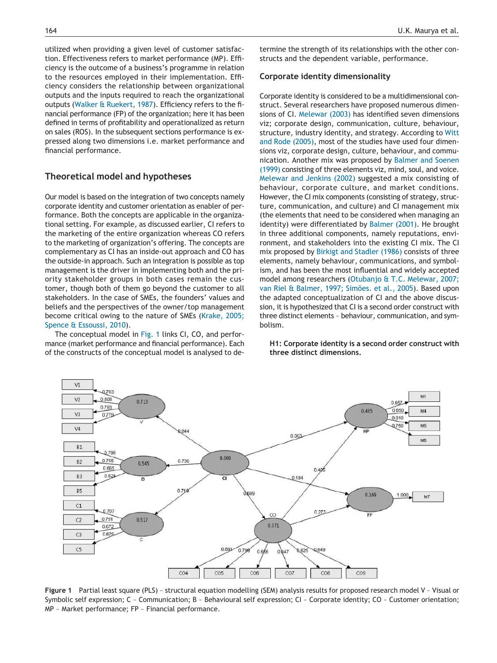utilized when providing a given level of customer satisfaction. Effectiveness refers to market performance (MP). Efficiency is the outcome of a business's programme in relation to the resources employed in their implementation. Efficiency considers the relationship between organizational outputs and the inputs required to reach the organizational outputs (Walker & Ruekert, 1987). Efficiency refers to the financial performance (FP) of the organization; here it has been defined in terms of profitability and operationalized as return on sales (ROS). In the subsequent sections performance is expressed along two dimensions i.e. market performance and financial performance.

## **Theoretical model and hypotheses**

Our model is based on the integration of two concepts namely corporate identity and customer orientation as enabler of performance. Both the concepts are applicable in the organizational setting. For example, as discussed earlier, CI refers to the marketing of the entire organization whereas CO refers to the marketing of organization's offering. The concepts are complementary as CI has an inside-out approach and CO has the outside-in approach. Such an integration is possible as top management is the driver in implementing both and the priority stakeholder groups in both cases remain the customer, though both of them go beyond the customer to all stakeholders. In the case of SMEs, the founders' values and beliefs and the perspectives of the owner/top management become critical owing to the nature of SMEs (Krake, 2005; Spence & Essoussi, 2010).

The conceptual model in Fig. 1 links CI, CO, and performance (market performance and financial performance). Each of the constructs of the conceptual model is analysed to de-

termine the strength of its relationships with the other constructs and the dependent variable, performance.

#### **Corporate identity dimensionality**

Corporate identity is considered to be a multidimensional construct. Several researchers have proposed numerous dimensions of CI. Melewar (2003) has identified seven dimensions viz; corporate design, communication, culture, behaviour, structure, industry identity, and strategy. According to Witt and Rode (2005), most of the studies have used four dimensions viz, corporate design, culture, behaviour, and communication. Another mix was proposed by Balmer and Soenen (1999) consisting of three elements viz, mind, soul, and voice. Melewar and Jenkins (2002) suggested a mix consisting of behaviour, corporate culture, and market conditions. However, the CI mix components (consisting of strategy, structure, communication, and culture) and CI management mix (the elements that need to be considered when managing an identity) were differentiated by Balmer (2001). He brought in three additional components, namely reputations, environment, and stakeholders into the existing CI mix. The CI mix proposed by Birkigt and Stadler (1986) consists of three elements, namely behaviour, communications, and symbolism, and has been the most influential and widely accepted model among researchers (Otubanjo & T.C. Melewar, 2007; van Riel & Balmer, 1997; Simões. et al., 2005). Based upon the adapted conceptualization of CI and the above discussion, it is hypothesized that CI is a second order construct with three distinct elements – behaviour, communication, and symbolism.

**H1: Corporate identity is a second order construct with three distinct dimensions.**



**Figure 1** Partial least square (PLS) – structural equation modelling (SEM) analysis results for proposed research model V – Visual or Symbolic self expression; C – Communication; B – Behavioural self expression; CI – Corporate identity; CO – Customer orientation; MP – Market performance; FP – Financial performance.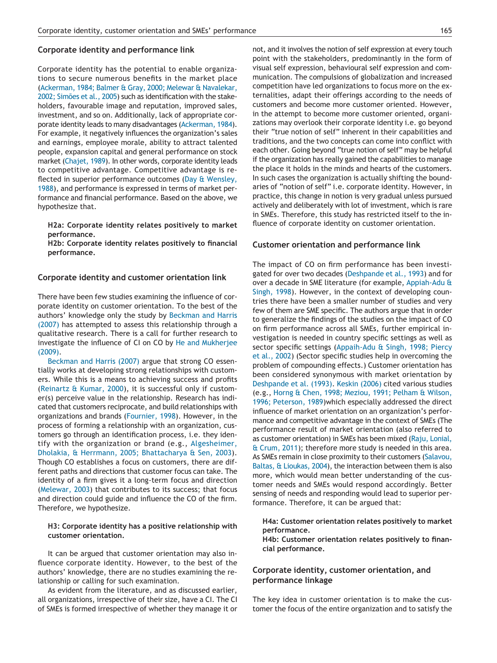#### **Corporate identity and performance link**

Corporate identity has the potential to enable organizations to secure numerous benefits in the market place (Ackerman, 1984; Balmer & Gray, 2000; Melewar & Navalekar, 2002; Simões et al., 2005) such as identification with the stakeholders, favourable image and reputation, improved sales, investment, and so on. Additionally, lack of appropriate corporate identity leads to many disadvantages (Ackerman, 1984). For example, it negatively influences the organization's sales and earnings, employee morale, ability to attract talented people, expansion capital and general performance on stock market (Chajet, 1989). In other words, corporate identity leads to competitive advantage. Competitive advantage is reflected in superior performance outcomes (Day & Wensley, 1988), and performance is expressed in terms of market performance and financial performance. Based on the above, we hypothesize that.

**H2a: Corporate identity relates positively to market performance.**

**H2b: Corporate identity relates positively to financial performance.**

### **Corporate identity and customer orientation link**

There have been few studies examining the influence of corporate identity on customer orientation. To the best of the authors' knowledge only the study by Beckman and Harris (2007) has attempted to assess this relationship through a qualitative research. There is a call for further research to investigate the influence of CI on CO by He and Mukherjee (2009).

Beckman and Harris (2007) argue that strong CO essentially works at developing strong relationships with customers. While this is a means to achieving success and profits (Reinartz & Kumar, 2000), it is successful only if customer(s) perceive value in the relationship. Research has indicated that customers reciprocate, and build relationships with organizations and brands (Fournier, 1998). However, in the process of forming a relationship with an organization, customers go through an identification process, i.e. they identify with the organization or brand (e.g., Algesheimer, Dholakia, & Herrmann, 2005; Bhattacharya & Sen, 2003). Though CO establishes a focus on customers, there are different paths and directions that customer focus can take. The identity of a firm gives it a long-term focus and direction (Melewar, 2003) that contributes to its success; that focus and direction could guide and influence the CO of the firm. Therefore, we hypothesize.

#### **H3: Corporate identity has a positive relationship with customer orientation.**

It can be argued that customer orientation may also influence corporate identity. However, to the best of the authors' knowledge, there are no studies examining the relationship or calling for such examination.

As evident from the literature, and as discussed earlier, all organizations, irrespective of their size, have a CI. The CI of SMEs is formed irrespective of whether they manage it or not, and it involves the notion of self expression at every touch point with the stakeholders, predominantly in the form of visual self expression, behavioural self expression and communication. The compulsions of globalization and increased competition have led organizations to focus more on the externalities, adapt their offerings according to the needs of customers and become more customer oriented. However, in the attempt to become more customer oriented, organizations may overlook their corporate identity i.e. go beyond their "true notion of self" inherent in their capabilities and traditions, and the two concepts can come into conflict with each other. Going beyond "true notion of self" may be helpful if the organization has really gained the capabilities to manage the place it holds in the minds and hearts of the customers. In such cases the organization is actually shifting the boundaries of "notion of self" i.e. corporate identity. However, in practice, this change in notion is very gradual unless pursued actively and deliberately with lot of investment, which is rare in SMEs. Therefore, this study has restricted itself to the influence of corporate identity on customer orientation.

#### **Customer orientation and performance link**

The impact of CO on firm performance has been investigated for over two decades (Deshpande et al., 1993) and for over a decade in SME literature (for example, Appiah-Adu & Singh, 1998). However, in the context of developing countries there have been a smaller number of studies and very few of them are SME specific. The authors argue that in order to generalize the findings of the studies on the impact of CO on firm performance across all SMEs, further empirical investigation is needed in country specific settings as well as sector specific settings (Appaih-Adu & Singh, 1998; Piercy et al., 2002) (Sector specific studies help in overcoming the problem of compounding effects.) Customer orientation has been considered synonymous with market orientation by Deshpande et al. (1993). Keskin (2006) cited various studies (e.g., Horng & Chen, 1998; Meziou, 1991; Pelham & Wilson, 1996; Peterson, 1989)which especially addressed the direct influence of market orientation on an organization's performance and competitive advantage in the context of SMEs (The performance result of market orientation (also referred to as customer orientation) in SMEs has been mixed (Raju, Lonial, & Crum, 2011); therefore more study is needed in this area. As SMEs remain in close proximity to their customers (Salavou, Baltas, & Lioukas, 2004), the interaction between them is also more, which would mean better understanding of the customer needs and SMEs would respond accordingly. Better sensing of needs and responding would lead to superior performance. Therefore, it can be argued that:

#### **H4a: Customer orientation relates positively to market performance.**

**H4b: Customer orientation relates positively to financial performance.**

# **Corporate identity, customer orientation, and performance linkage**

The key idea in customer orientation is to make the customer the focus of the entire organization and to satisfy the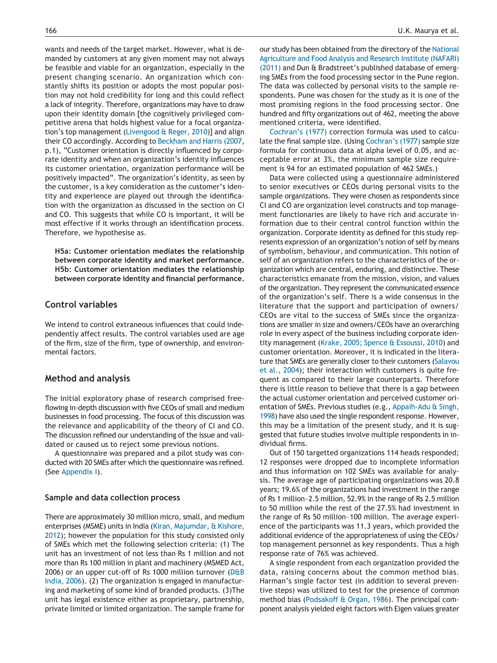wants and needs of the target market. However, what is demanded by customers at any given moment may not always be feasible and viable for an organization, especially in the present changing scenario. An organization which constantly shifts its position or adopts the most popular position may not hold credibility for long and this could reflect a lack of integrity. Therefore, organizations may have to draw upon their identity domain [the cognitively privileged competitive arena that holds highest value for a focal organization's top management (Livengood & Reger, 2010)] and align their CO accordingly. According to Beckham and Harris (2007, p.1), "Customer orientation is directly influenced by corporate identity and when an organization's identity influences its customer orientation, organization performance will be positively impacted". The organization's identity, as seen by the customer, is a key consideration as the customer's identity and experience are played out through the identification with the organization as discussed in the section on CI and CO. This suggests that while CO is important, it will be most effective if it works through an identification process. Therefore, we hypothesise as.

**H5a: Customer orientation mediates the relationship between corporate identity and market performance. H5b: Customer orientation mediates the relationship between corporate identity and financial performance.**

# **Control variables**

We intend to control extraneous influences that could independently affect results. The control variables used are age of the firm, size of the firm, type of ownership, and environmental factors.

# **Method and analysis**

The initial exploratory phase of research comprised freeflowing in-depth discussion with five CEOs of small and medium businesses in food processing. The focus of this discussion was the relevance and applicability of the theory of CI and CO. The discussion refined our understanding of the issue and validated or caused us to reject some previous notions.

A questionnaire was prepared and a pilot study was conducted with 20 SMEs after which the questionnaire was refined. (See Appendix I).

# **Sample and data collection process**

There are approximately 30 million micro, small, and medium enterprises (MSME) units in India (Kiran, Majumdar, & Kishore, 2012); however the population for this study consisted only of SMEs which met the following selection criteria: (1) The unit has an investment of not less than Rs 1 million and not more than Rs 100 million in plant and machinery (MSMED Act, 2006) or an upper cut-off of Rs 1000 million turnover (D&B India, 2006). (2) The organization is engaged in manufacturing and marketing of some kind of branded products. (3)The unit has legal existence either as proprietary, partnership, private limited or limited organization. The sample frame for our study has been obtained from the directory of the National Agriculture and Food Analysis and Research Institute (NAFARI) (2011) and Dun & Bradstreet's published database of emerging SMEs from the food processing sector in the Pune region. The data was collected by personal visits to the sample respondents. Pune was chosen for the study as it is one of the most promising regions in the food processing sector. One hundred and fifty organizations out of 462, meeting the above mentioned criteria, were identified.

Cochran's (1977) correction formula was used to calculate the final sample size. (Using Cochran's (1977) sample size formula for continuous data at alpha level of 0.05, and acceptable error at 3%, the minimum sample size requirement is 94 for an estimated population of 462 SMEs.)

Data were collected using a questionnaire administered to senior executives or CEOs during personal visits to the sample organizations. They were chosen as respondents since CI and CO are organization level constructs and top management functionaries are likely to have rich and accurate information due to their central control function within the organization. Corporate identity as defined for this study represents expression of an organization's notion of self by means of symbolism, behaviour, and communication. This notion of self of an organization refers to the characteristics of the organization which are central, enduring, and distinctive. These characteristics emanate from the mission, vision, and values of the organization. They represent the communicated essence of the organization's self. There is a wide consensus in the literature that the support and participation of owners/ CEOs are vital to the success of SMEs since the organizations are smaller in size and owners/CEOs have an overarching role in every aspect of the business including corporate identity management (Krake, 2005; Spence & Essoussi, 2010) and customer orientation. Moreover, it is indicated in the literature that SMEs are generally closer to their customers (Salavou et al., 2004); their interaction with customers is quite frequent as compared to their large counterparts. Therefore there is little reason to believe that there is a gap between the actual customer orientation and perceived customer orientation of SMEs. Previous studies (e.g., Appaih-Adu & Singh, 1998) have also used the single respondent response. However, this may be a limitation of the present study, and it is suggested that future studies involve multiple respondents in individual firms.

Out of 150 targetted organizations 114 heads responded; 12 responses were dropped due to incomplete information and thus information on 102 SMEs was available for analysis. The average age of participating organizations was 20.8 years; 19.6% of the organizations had investment in the range of Rs 1 million–2.5 million, 52.9% in the range of Rs 2.5 million to 50 million while the rest of the 27.5% had investment in the range of Rs 50 million–100 million. The average experience of the participants was 11.3 years, which provided the additional evidence of the appropriateness of using the CEOs/ top management personnel as key respondents. Thus a high response rate of 76% was achieved.

A single respondent from each organization provided the data, raising concerns about the common method bias. Harman's single factor test (in addition to several preventive steps) was utilized to test for the presence of common method bias (Podsakoff & Organ, 1986). The principal component analysis yielded eight factors with Eigen values greater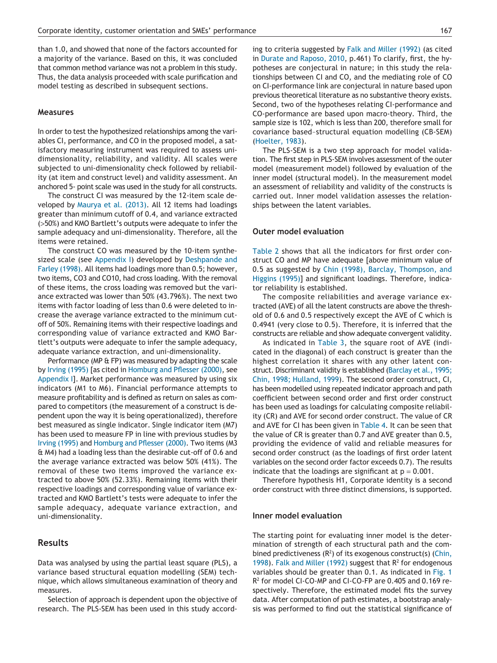than 1.0, and showed that none of the factors accounted for a majority of the variance. Based on this, it was concluded that common method variance was not a problem in this study. Thus, the data analysis proceeded with scale purification and model testing as described in subsequent sections.

#### **Measures**

In order to test the hypothesized relationships among the variables CI, performance, and CO in the proposed model, a satisfactory measuring instrument was required to assess unidimensionality, reliability, and validity. All scales were subjected to uni-dimensionality check followed by reliability (at item and construct level) and validity assessment. An anchored 5- point scale was used in the study for all constructs.

The construct CI was measured by the 12-item scale developed by Maurya et al. (2013). All 12 items had loadings greater than minimum cutoff of 0.4, and variance extracted (>50%) and KMO Bartlett's outputs were adequate to infer the sample adequacy and uni-dimensionality. Therefore, all the items were retained.

The construct CO was measured by the 10-item synthesized scale (see Appendix I) developed by Deshpande and Farley (1998). All items had loadings more than 0.5; however, two items, CO3 and CO10, had cross loading. With the removal of these items, the cross loading was removed but the variance extracted was lower than 50% (43.796%). The next two items with factor loading of less than 0.6 were deleted to increase the average variance extracted to the minimum cutoff of 50%. Remaining items with their respective loadings and corresponding value of variance extracted and KMO Bartlett's outputs were adequate to infer the sample adequacy, adequate variance extraction, and uni-dimensionality.

Performance (MP & FP) was measured by adapting the scale by Irving (1995) [as cited in Homburg and Pflesser (2000), see Appendix I]. Market performance was measured by using six indicators (M1 to M6). Financial performance attempts to measure profitability and is defined as return on sales as compared to competitors (the measurement of a construct is dependent upon the way it is being operationalized), therefore best measured as single indicator. Single indicator item (M7) has been used to measure FP in line with previous studies by Irving (1995) and Homburg and Pflesser (2000). Two items (M3 & M4) had a loading less than the desirable cut-off of 0.6 and the average variance extracted was below 50% (41%). The removal of these two items improved the variance extracted to above 50% (52.33%). Remaining items with their respective loadings and corresponding value of variance extracted and KMO Bartlett's tests were adequate to infer the sample adequacy, adequate variance extraction, and uni-dimensionality.

# **Results**

Data was analysed by using the partial least square (PLS), a variance based structural equation modelling (SEM) technique, which allows simultaneous examination of theory and measures.

Selection of approach is dependent upon the objective of research. The PLS-SEM has been used in this study according to criteria suggested by Falk and Miller (1992) (as cited in Durate and Raposo, 2010, p.461) To clarify, first, the hypotheses are conjectural in nature; in this study the relationships between CI and CO, and the mediating role of CO on CI-performance link are conjectural in nature based upon previous theoretical literature as no substantive theory exists. Second, two of the hypotheses relating CI-performance and CO-performance are based upon macro-theory. Third, the sample size is 102, which is less than 200, therefore small for covariance based–structural equation modelling (CB-SEM) (Hoelter, 1983).

The PLS-SEM is a two step approach for model validation. The first step in PLS-SEM involves assessment of the outer model (measurement model) followed by evaluation of the inner model (structural model). In the measurement model an assessment of reliability and validity of the constructs is carried out. Inner model validation assesses the relationships between the latent variables.

#### **Outer model evaluation**

Table 2 shows that all the indicators for first order construct CO and MP have adequate [above minimum value of 0.5 as suggested by Chin (1998), Barclay, Thompson, and Higgins (1995)] and significant loadings. Therefore, indicator reliability is established.

The composite reliabilities and average variance extracted (AVE) of all the latent constructs are above the threshold of 0.6 and 0.5 respectively except the AVE of C which is 0.4941 (very close to 0.5). Therefore, it is inferred that the constructs are reliable and show adequate convergent validity.

As indicated in Table 3, the square root of AVE (indicated in the diagonal) of each construct is greater than the highest correlation it shares with any other latent construct. Discriminant validity is established (Barclay et al., 1995; Chin, 1998; Hulland, 1999). The second order construct, CI, has been modelled using repeated indicator approach and path coefficient between second order and first order construct has been used as loadings for calculating composite reliability (CR) and AVE for second order construct. The value of CR and AVE for CI has been given in Table 4. It can be seen that the value of CR is greater than 0.7 and AVE greater than 0.5, providing the evidence of valid and reliable measures for second order construct (as the loadings of first order latent variables on the second order factor exceeds 0.7). The results indicate that the loadings are significant at  $p = 0.001$ .

Therefore hypothesis H1, Corporate identity is a second order construct with three distinct dimensions, is supported.

# **Inner model evaluation**

The starting point for evaluating inner model is the determination of strength of each structural path and the combined predictiveness  $(R^2)$  of its exogenous construct(s) (Chin, 1998). Falk and Miller (1992) suggest that  $R^2$  for endogenous variables should be greater than 0.1. As indicated in Fig. 1 R 2 for model CI-CO-MP and CI-CO-FP are 0.405 and 0.169 respectively. Therefore, the estimated model fits the survey data. After computation of path estimates, a bootstrap analysis was performed to find out the statistical significance of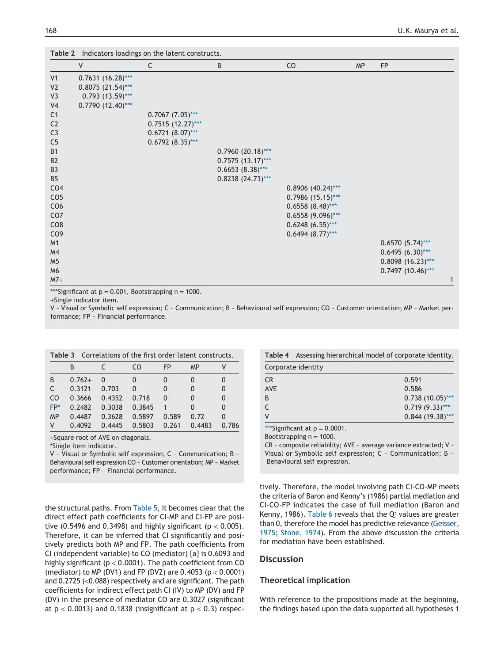|                 |                       | Table 2 Indicators loadings on the latent constructs. |                        |                     |           |                     |
|-----------------|-----------------------|-------------------------------------------------------|------------------------|---------------------|-----------|---------------------|
|                 | V                     | C                                                     | В                      | CO                  | <b>MP</b> | <b>FP</b>           |
| V <sub>1</sub>  | $0.7631 (16.28)***$   |                                                       |                        |                     |           |                     |
| V <sub>2</sub>  | $0.8075(21.54)***$    |                                                       |                        |                     |           |                     |
| V3              | $0.793$ $(13.59)$ *** |                                                       |                        |                     |           |                     |
| V <sub>4</sub>  | $0.7790(12.40)$ ***   |                                                       |                        |                     |           |                     |
| C <sub>1</sub>  |                       | $0.7067 (7.05)$ ***                                   |                        |                     |           |                     |
| C <sub>2</sub>  |                       | $0.7515(12.27)***$                                    |                        |                     |           |                     |
| C <sub>3</sub>  |                       | $0.6721 (8.07)$ ***                                   |                        |                     |           |                     |
| C <sub>5</sub>  |                       | $0.6792 (8.35)$ ***                                   |                        |                     |           |                     |
| <b>B1</b>       |                       |                                                       | $0.7960(20.18)***$     |                     |           |                     |
| B <sub>2</sub>  |                       |                                                       | $0.7575$ $(13.17)$ *** |                     |           |                     |
| B <sub>3</sub>  |                       |                                                       | $0.6653(8.38)$ ***     |                     |           |                     |
| B <sub>5</sub>  |                       |                                                       | $0.8238(24.73)$ ***    |                     |           |                     |
| CO <sub>4</sub> |                       |                                                       |                        | $0.8906$ (40.24)*** |           |                     |
| CO <sub>5</sub> |                       |                                                       |                        | $0.7986$ (15.15)*** |           |                     |
| CO6             |                       |                                                       |                        | $0.6558(8.48)$ ***  |           |                     |
| CO <sub>7</sub> |                       |                                                       |                        | $0.6558(9.096)$ *** |           |                     |
| CO <sub>8</sub> |                       |                                                       |                        | $0.6248 (6.55)$ *** |           |                     |
| CO <sub>9</sub> |                       |                                                       |                        | $0.6494 (8.77)$ *** |           |                     |
| M1              |                       |                                                       |                        |                     |           | $0.6570(5.74)$ ***  |
| M4              |                       |                                                       |                        |                     |           | $0.6495 (6.30)$ *** |
| M <sub>5</sub>  |                       |                                                       |                        |                     |           | $0.8098(16.23)***$  |
| M <sub>6</sub>  |                       |                                                       |                        |                     |           | $0.7497$ (10.46)*** |
| $M7+$           |                       |                                                       |                        |                     |           | 1                   |

\*\*\*Significant at  $p = 0.001$ , Bootstrapping  $n = 1000$ .

+Single indicator item.

V – Visual or Symbolic self expression; C – Communication; B – Behavioural self expression; CO – Customer orientation; MP – Market performance; FP – Financial performance.

| Table 3        |          | Correlations of the first order latent constructs. |        |          |           |       |
|----------------|----------|----------------------------------------------------|--------|----------|-----------|-------|
|                | B        |                                                    | CO     | FP       | <b>MP</b> |       |
| B              | $0.762+$ | $\Omega$                                           | 0      |          |           |       |
| C.             | 0.3121   | 0.703                                              | 0      | $\Omega$ | n         |       |
| C <sub>O</sub> | 0.3666   | 0.4352                                             | 0.718  | $\Omega$ |           |       |
| $FP*$          | 0.2482   | 0.3038                                             | 0.3845 |          | 0         |       |
| <b>MP</b>      | 0.4487   | 0.3628                                             | 0.5897 | 0.589    | 0.72      |       |
| ۷              | 0.4092   | 0.4445                                             | 0.5803 | 0.261    | 0.4483    | 0.786 |

+Square root of AVE on diagonals.

\*Single item indicator.

V – Visual or Symbolic self expression; C – Communication; B – Behavioural self expression CO – Customer orientation; MP – Market performance; FP – Financial performance.

the structural paths. From Table 5, it becomes clear that the direct effect path coefficients for CI-MP and CI-FP are positive (0.5496 and 0.3498) and highly significant ( $p < 0.005$ ). Therefore, it can be inferred that CI significantly and positively predicts both MP and FP. The path coefficients from CI (independent variable) to CO (mediator) {a} is 0.6093 and highly significant ( $p < 0.0001$ ). The path coefficient from CO (mediator) to MP (DV1) and FP (DV2) are  $0.4053$  (p  $< 0.0001$ ) and 0.2725 (<0.088) respectively and are significant. The path coefficients for indirect effect path CI (IV) to MP (DV) and FP (DV) in the presence of mediator CO are 0.3027 (significant at  $p < 0.0013$ ) and 0.1838 (insignificant at  $p < 0.3$ ) respec-

| <b>Table 4</b> Assessing hierarchical model of corporate identity. |
|--------------------------------------------------------------------|
| Corporate identity                                                 |

| CR.        | 0.591             |
|------------|-------------------|
| <b>AVE</b> | 0.586             |
| B          | $0.738(10.05)***$ |
|            | $0.719(9.33)***$  |
|            | $0.844(19.38)***$ |

\*\*\*Significant at  $p = 0.0001$ .

Bootstrapping  $n = 1000$ .

CR – composite reliability; AVE – average variance extracted; V – Visual or Symbolic self expression; C – Communication; B – Behavioural self expression.

tively. Therefore, the model involving path CI-CO-MP meets the criteria of Baron and Kenny's (1986) partial mediation and CI-CO-FP indicates the case of full mediation (Baron and Kenny, 1986). Table 6 reveals that the  $Q<sup>2</sup>$  values are greater than 0, therefore the model has predictive relevance (Geisser, 1975; Stone, 1974). From the above discussion the criteria for mediation have been established.

# **Discussion**

### **Theoretical implication**

With reference to the propositions made at the beginning, the findings based upon the data supported all hypotheses 1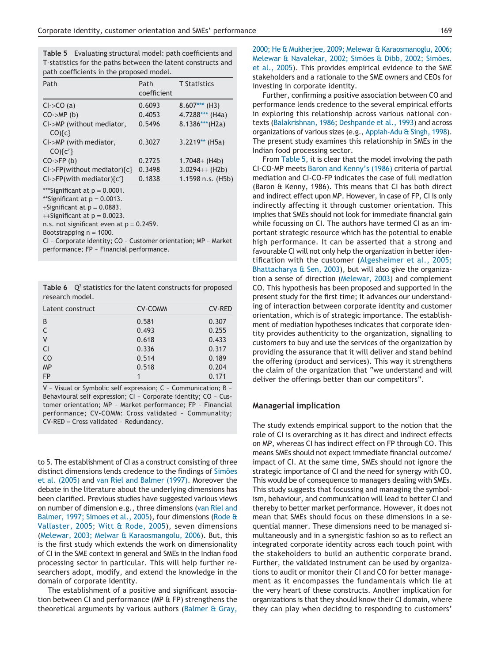**Table 5** Evaluating structural model: path coefficients and T-statistics for the paths between the latent constructs and path coefficients in the proposed model.

| Path                                                                                                                                                                                      | Path<br>coefficient | <b>T</b> Statistics |
|-------------------------------------------------------------------------------------------------------------------------------------------------------------------------------------------|---------------------|---------------------|
| Cl <sub>&gt;</sub> CO (a)                                                                                                                                                                 | 0.6093              | $8.607***$ (H3)     |
| CO <sub>&gt;</sub> MP(b)                                                                                                                                                                  | 0.4053              | 4.7288*** (H4a)     |
| CI->MP (without mediator,<br>$CO$ $c$ }                                                                                                                                                   | 0.5496              | $8.1386***$ (H2a)   |
| CI->MP (with mediator,<br>$CO$ <sup>{c'}</sup>                                                                                                                                            | 0.3027              | $3.2219**$ (H5a)    |
| $CO\rightarrow FP$ (b)                                                                                                                                                                    | 0.2725              | $1.7048 + (H4b)$    |
| $Cl$ ->FP(without mediator){ $c$ }                                                                                                                                                        | 0.3498              | $3.0294++ (H2b)$    |
| $CI$ ->FP(with mediator){ $c'$ }                                                                                                                                                          | 0.1838              | 1.1598 n.s. (H5b)   |
| ***Significant at $p = 0.0001$ .<br>**Significant at $p = 0.0013$ .<br>+Significant at $p = 0.0883$ .<br>$+$ Significant at $p = 0.0023$ .<br>n.s. not significant even at $p = 0.2459$ . |                     |                     |

Bootstrapping  $n = 1000$ .

CI – Corporate identity; CO – Customer orientation; MP – Market performance; FP – Financial performance.

**Table 6** Q 2 statistics for the latent constructs for proposed research model.

| Latent construct | <b>CV-COMM</b> | <b>CV-RED</b> |
|------------------|----------------|---------------|
| B                | 0.581          | 0.307         |
| C                | 0.493          | 0.255         |
| V                | 0.618          | 0.433         |
| <b>CI</b>        | 0.336          | 0.317         |
| C <sub>O</sub>   | 0.514          | 0.189         |
| <b>MP</b>        | 0.518          | 0.204         |
| <b>FP</b>        |                | 0.171         |

V – Visual or Symbolic self expression; C – Communication; B – Behavioural self expression; CI – Corporate identity; CO – Customer orientation; MP – Market performance; FP – Financial performance; CV-COMM: Cross validated – Communality; CV-RED **–** Cross validated – Redundancy.

to 5. The establishment of CI as a construct consisting of three distinct dimensions lends credence to the findings of Simões et al. (2005) and van Riel and Balmer (1997). Moreover the debate in the literature about the underlying dimensions has been clarified. Previous studies have suggested various views on number of dimension e.g., three dimensions (van Riel and Balmer, 1997; Simoes et al., 2005), four dimensions (Rode & Vallaster, 2005; Witt & Rode, 2005), seven dimensions (Melewar, 2003; Melwar & Karaosmangolu, 2006). But, this is the first study which extends the work on dimensionality of CI in the SME context in general and SMEs in the Indian food processing sector in particular. This will help further researchers adopt, modify, and extend the knowledge in the domain of corporate identity.

The establishment of a positive and significant association between CI and performance (MP & FP) strengthens the theoretical arguments by various authors (Balmer & Gray, 2000; He & Mukherjee, 2009; Melewar & Karaosmanoglu, 2006; Melewar & Navalekar, 2002; Simões & Dibb, 2002; Simões. et al., 2005). This provides empirical evidence to the SME stakeholders and a rationale to the SME owners and CEOs for investing in corporate identity.

Further, confirming a positive association between CO and performance lends credence to the several empirical efforts in exploring this relationship across various national contexts (Balakrishnan, 1986; Deshpande et al., 1993) and across organizations of various sizes (e.g., Appiah-Adu & Singh, 1998). The present study examines this relationship in SMEs in the Indian food processing sector.

From Table 5, it is clear that the model involving the path CI-CO-MP meets Baron and Kenny's (1986) criteria of partial mediation and CI-CO-FP indicates the case of full mediation (Baron & Kenny, 1986). This means that CI has both direct and indirect effect upon MP. However, in case of FP, CI is only indirectly affecting it through customer orientation. This implies that SMEs should not look for immediate financial gain while focussing on CI. The authors have termed CI as an important strategic resource which has the potential to enable high performance. It can be asserted that a strong and favourable CI will not only help the organization in better identification with the customer (Algesheimer et al., 2005; Bhattacharya & Sen, 2003), but will also give the organization a sense of direction (Melewar, 2003) and complement CO. This hypothesis has been proposed and supported in the present study for the first time; it advances our understanding of interaction between corporate identity and customer orientation, which is of strategic importance. The establishment of mediation hypotheses indicates that corporate identity provides authenticity to the organization, signalling to customers to buy and use the services of the organization by providing the assurance that it will deliver and stand behind the offering (product and services). This way it strengthens the claim of the organization that "we understand and will deliver the offerings better than our competitors".

#### **Managerial implication**

The study extends empirical support to the notion that the role of CI is overarching as it has direct and indirect effects on MP, whereas CI has indirect effect on FP through CO. This means SMEs should not expect immediate financial outcome/ impact of CI. At the same time, SMEs should not ignore the strategic importance of CI and the need for synergy with CO. This would be of consequence to managers dealing with SMEs. This study suggests that focussing and managing the symbolism, behaviour, and communication will lead to better CI and thereby to better market performance. However, it does not mean that SMEs should focus on these dimensions in a sequential manner. These dimensions need to be managed simultaneously and in a synergistic fashion so as to reflect an integrated corporate identity across each touch point with the stakeholders to build an authentic corporate brand. Further, the validated instrument can be used by organizations to audit or monitor their CI and CO for better management as it encompasses the fundamentals which lie at the very heart of these constructs. Another implication for organizations is that they should know their CI domain, where they can play when deciding to responding to customers'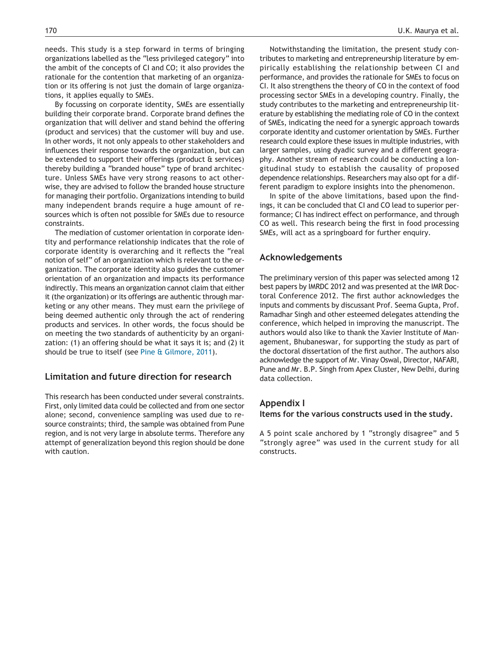needs. This study is a step forward in terms of bringing organizations labelled as the "less privileged category" into the ambit of the concepts of CI and CO; it also provides the rationale for the contention that marketing of an organization or its offering is not just the domain of large organizations, it applies equally to SMEs.

By focussing on corporate identity, SMEs are essentially building their corporate brand. Corporate brand defines the organization that will deliver and stand behind the offering (product and services) that the customer will buy and use. In other words, it not only appeals to other stakeholders and influences their response towards the organization, but can be extended to support their offerings (product & services) thereby building a "branded house" type of brand architecture. Unless SMEs have very strong reasons to act otherwise, they are advised to follow the branded house structure for managing their portfolio. Organizations intending to build many independent brands require a huge amount of resources which is often not possible for SMEs due to resource constraints.

The mediation of customer orientation in corporate identity and performance relationship indicates that the role of corporate identity is overarching and it reflects the "real notion of self" of an organization which is relevant to the organization. The corporate identity also guides the customer orientation of an organization and impacts its performance indirectly. This means an organization cannot claim that either it (the organization) or its offerings are authentic through marketing or any other means. They must earn the privilege of being deemed authentic only through the act of rendering products and services. In other words, the focus should be on meeting the two standards of authenticity by an organization: (1) an offering should be what it says it is; and (2) it should be true to itself (see Pine & Gilmore, 2011).

# **Limitation and future direction for research**

This research has been conducted under several constraints. First, only limited data could be collected and from one sector alone; second, convenience sampling was used due to resource constraints; third, the sample was obtained from Pune region, and is not very large in absolute terms. Therefore any attempt of generalization beyond this region should be done with caution.

Notwithstanding the limitation, the present study contributes to marketing and entrepreneurship literature by empirically establishing the relationship between CI and performance, and provides the rationale for SMEs to focus on CI. It also strengthens the theory of CO in the context of food processing sector SMEs in a developing country. Finally, the study contributes to the marketing and entrepreneurship literature by establishing the mediating role of CO in the context of SMEs, indicating the need for a synergic approach towards corporate identity and customer orientation by SMEs. Further research could explore these issues in multiple industries, with larger samples, using dyadic survey and a different geography. Another stream of research could be conducting a longitudinal study to establish the causality of proposed dependence relationships. Researchers may also opt for a different paradigm to explore insights into the phenomenon.

In spite of the above limitations, based upon the findings, it can be concluded that CI and CO lead to superior performance; CI has indirect effect on performance, and through CO as well. This research being the first in food processing SMEs, will act as a springboard for further enquiry.

# **Acknowledgements**

The preliminary version of this paper was selected among 12 best papers by IMRDC 2012 and was presented at the IMR Doctoral Conference 2012. The first author acknowledges the inputs and comments by discussant Prof. Seema Gupta, Prof. Ramadhar Singh and other esteemed delegates attending the conference, which helped in improving the manuscript. The authors would also like to thank the Xavier Institute of Management, Bhubaneswar, for supporting the study as part of the doctoral dissertation of the first author. The authors also acknowledge the support of Mr. Vinay Oswal, Director, NAFARI, Pune and Mr. B.P. Singh from Apex Cluster, New Delhi, during data collection.

# **Appendix I**

#### **Items for the various constructs used in the study.**

A 5 point scale anchored by 1 "strongly disagree" and 5 "strongly agree" was used in the current study for all constructs.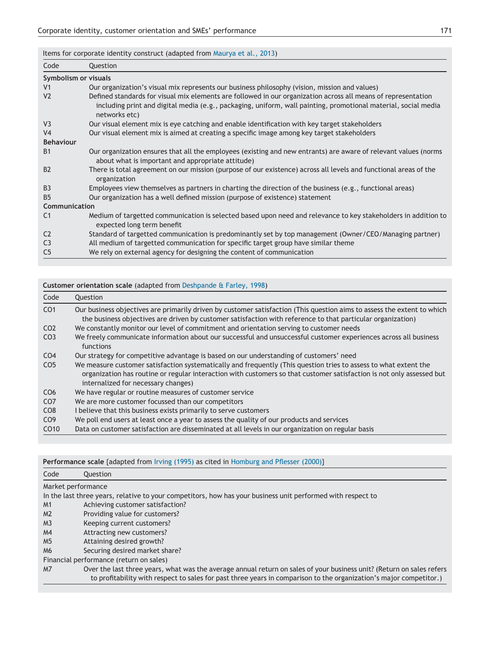Items for corporate identity construct (adapted from Maurya et al., 2013)

| Code             | Question                                                                                                                                                                                                                                         |
|------------------|--------------------------------------------------------------------------------------------------------------------------------------------------------------------------------------------------------------------------------------------------|
|                  | Symbolism or visuals                                                                                                                                                                                                                             |
| V <sub>1</sub>   | Our organization's visual mix represents our business philosophy (vision, mission and values)                                                                                                                                                    |
| V <sub>2</sub>   | Defined standards for visual mix elements are followed in our organization across all means of representation<br>including print and digital media (e.g., packaging, uniform, wall painting, promotional material, social media<br>networks etc) |
| V <sub>3</sub>   | Our visual element mix is eye catching and enable identification with key target stakeholders                                                                                                                                                    |
| V <sub>4</sub>   | Our visual element mix is aimed at creating a specific image among key target stakeholders                                                                                                                                                       |
| <b>Behaviour</b> |                                                                                                                                                                                                                                                  |
| <b>B1</b>        | Our organization ensures that all the employees (existing and new entrants) are aware of relevant values (norms<br>about what is important and appropriate attitude)                                                                             |
| B <sub>2</sub>   | There is total agreement on our mission (purpose of our existence) across all levels and functional areas of the<br>organization                                                                                                                 |
| <b>B3</b>        | Employees view themselves as partners in charting the direction of the business (e.g., functional areas)                                                                                                                                         |
| <b>B5</b>        | Our organization has a well defined mission (purpose of existence) statement                                                                                                                                                                     |
| Communication    |                                                                                                                                                                                                                                                  |
| C <sub>1</sub>   | Medium of targetted communication is selected based upon need and relevance to key stakeholders in addition to<br>expected long term benefit                                                                                                     |
| C <sub>2</sub>   | Standard of targetted communication is predominantly set by top management (Owner/CEO/Managing partner)                                                                                                                                          |
| C <sub>3</sub>   | All medium of targetted communication for specific target group have similar theme                                                                                                                                                               |
| C <sub>5</sub>   | We rely on external agency for designing the content of communication                                                                                                                                                                            |

**Customer orientation scale** (adapted from Deshpande & Farley, 1998)

| Code             | <b>Ouestion</b>                                                                                                                                                                                                                                                                  |
|------------------|----------------------------------------------------------------------------------------------------------------------------------------------------------------------------------------------------------------------------------------------------------------------------------|
| CO1              | Our business objectives are primarily driven by customer satisfaction (This question aims to assess the extent to which<br>the business objectives are driven by customer satisfaction with reference to that particular organization)                                           |
| CO <sub>2</sub>  | We constantly monitor our level of commitment and orientation serving to customer needs                                                                                                                                                                                          |
| CO <sub>3</sub>  | We freely communicate information about our successful and unsuccessful customer experiences across all business<br>functions                                                                                                                                                    |
| CO <sub>4</sub>  | Our strategy for competitive advantage is based on our understanding of customers' need                                                                                                                                                                                          |
| CO <sub>5</sub>  | We measure customer satisfaction systematically and frequently (This question tries to assess to what extent the<br>organization has routine or regular interaction with customers so that customer satisfaction is not only assessed but<br>internalized for necessary changes) |
| CO <sub>6</sub>  | We have regular or routine measures of customer service                                                                                                                                                                                                                          |
| CO <sub>7</sub>  | We are more customer focussed than our competitors                                                                                                                                                                                                                               |
| CO <sub>8</sub>  | I believe that this business exists primarily to serve customers                                                                                                                                                                                                                 |
| CO <sub>9</sub>  | We poll end users at least once a year to assess the quality of our products and services                                                                                                                                                                                        |
| CO <sub>10</sub> | Data on customer satisfaction are disseminated at all levels in our organization on regular basis                                                                                                                                                                                |

|                    | <b>Performance scale</b> {adapted from Irving (1995) as cited in Homburg and Pflesser (2000)}                                                                                                                                               |
|--------------------|---------------------------------------------------------------------------------------------------------------------------------------------------------------------------------------------------------------------------------------------|
| Code               | Question                                                                                                                                                                                                                                    |
| Market performance |                                                                                                                                                                                                                                             |
|                    | In the last three years, relative to your competitors, how has your business unit performed with respect to                                                                                                                                 |
| M1                 | Achieving customer satisfaction?                                                                                                                                                                                                            |
| M <sub>2</sub>     | Providing value for customers?                                                                                                                                                                                                              |
| M <sub>3</sub>     | Keeping current customers?                                                                                                                                                                                                                  |
| M <sub>4</sub>     | Attracting new customers?                                                                                                                                                                                                                   |
| M <sub>5</sub>     | Attaining desired growth?                                                                                                                                                                                                                   |
| M <sub>6</sub>     | Securing desired market share?                                                                                                                                                                                                              |
|                    | Financial performance (return on sales)                                                                                                                                                                                                     |
| M7                 | Over the last three years, what was the average annual return on sales of your business unit? (Return on sales refers<br>to profitability with respect to sales for past three years in comparison to the organization's major competitor.) |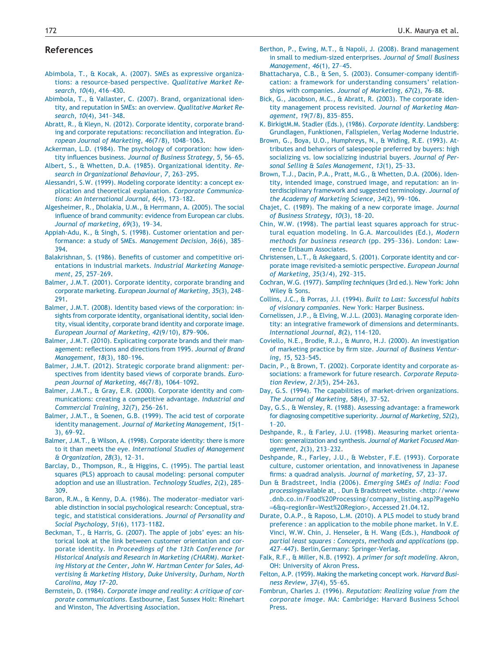# **References**

- Abimbola, T., & Kocak, A. (2007). SMEs as expressive organizations: a resource-based perspective. *Qualitative Market Research*, *10*(4), 416–430.
- Abimbola, T., & Vallaster, C. (2007). Brand, organizational identity, and reputation in SMEs: an overview. *Qualitative Market Research*, *10*(4), 341–348.
- Abratt, R., & Kleyn, N. (2012). Corporate identity, corporate branding and corporate reputations: reconciliation and integration. *European Journal of Marketing*, *46*(7/8), 1048–1063.
- Ackerman, L.D. (1984). The psychology of corporation: how identity influences business. *Journal of Business Strategy*, *5*, 56–65.
- Albert, S., & Whetten, D.A. (1985). Organizational identity. *Research in Organizational Behaviour*, *7*, 263–295.
- Alessandri, S.W. (1999). Modeling corporate identity: a concept explication and theoretical explanation. *Corporate Communications: An International Journal*, *6*(4), 173–182.
- Algesheimer, R., Dholakia, U.M., & Herrmann, A. (2005). The social influence of brand community: evidence from European car clubs. *Journal of marketing*, *69*(3), 19–34.
- Appiah-Adu, K., & Singh, S. (1998). Customer orientation and performance: a study of SMEs. *Management Decision*, *36*(6), 385– 394.
- Balakrishnan, S. (1986). Benefits of customer and competitive orientations in industrial markets. *Industrial Marketing Management*, *25*, 257–269.
- Balmer, J.M.T. (2001). Corporate identity, corporate branding and corporate marketing. *European Journal of Marketing*, *35*(3), 248– 291.
- Balmer, J.M.T. (2008). Identity based views of the corporation: insights from corporate identity, organisational identity, social identity, visual identity, corporate brand identity and corporate image. *European Journal of Marketing*, *42*(9/10), 879–906.
- Balmer, J.M.T. (2010). Explicating corporate brands and their management: reflections and directions from 1995. *Journal of Brand Management*, *18*(3), 180–196.
- Balmer, J.M.T. (2012). Strategic corporate brand alignment: perspectives from identity based views of corporate brands. *European Journal of Marketing*, *46*(7/8), 1064–1092.
- Balmer, J.M.T., & Gray, E.R. (2000). Corporate identity and communications: creating a competitive advantage. *Industrial and Commercial Training*, *32*(7), 256–261.
- Balmer, J.M.T., & Soenen, G.B. (1999). The acid test of corporate identity management. *Journal of Marketing Management*, *15*(1– 3), 69–92.
- Balmer, J.M.T., & Wilson, A. (1998). Corporate identity: there is more to it than meets the eye. *International Studies of Management & Organization*, *28*(3), 12–31.
- Barclay, D., Thompson, R., & Higgins, C. (1995). The partial least squares (PLS) approach to causal modeling: personal computer adoption and use an illustration. *Technology Studies*, *2*(2), 285– 309.
- Baron, R.M., & Kenny, D.A. (1986). The moderator–mediator variable distinction in social psychological research: Conceptual, strategic, and statistical considerations. *Journal of Personality and Social Psychology*, *51*(6), 1173–1182.
- Beckman, T., & Harris, G. (2007). The apple of jobs' eyes: an historical look at the link between customer orientation and corporate identity. In *Proceedings of the 13th Conference for Historical Analysis and Research in Marketing (CHARM). Marketing History at the Center, John W. Hartman Center for Sales, Advertising & Marketing History, Duke University, Durham, North Carolina, May 17–20*.
- Bernstein, D. (1984). *Corporate image and reality: A critique of corporate communications*. Eastbourne, East Sussex Holt: Rinehart and Winston, The Advertising Association.
- Berthon, P., Ewing, M.T., & Napoli, J. (2008). Brand management in small to medium-sized enterprises. *Journal of Small Business Management*, *46*(1), 27–45.
- Bhattacharya, C.B., & Sen, S. (2003). Consumer-company identification: a framework for understanding consumers' relationships with companies. *Journal of Marketing*, *67*(2), 76–88.
- Bick, G., Jacobson, M.C., & Abratt, R. (2003). The corporate identity management process revisited. *Journal of Marketing Management*, *19*(7/8), 835–855.
- K. BirkigtM.M. Stadler (Eds.), (1986). *Corporate Identity*. Landsberg: Grundlagen, Funktionen, Fallspielen, Verlag Moderne Industrie.
- Brown, G., Boya, U.O., Humphreys, N., & Widing, R.E. (1993). Attributes and behaviors of salespeople preferred by buyers: high socializing vs. low socializing industrial buyers. *Journal of Personal Selling & Sales Management*, *13*(1), 25–33.
- Brown, T.J., Dacin, P.A., Pratt, M.G., & Whetten, D.A. (2006). Identity, intended image, construed image, and reputation: an interdisciplinary framework and suggested terminology. *Journal of the Academy of Marketing Science*, *34*(2), 99–106.
- Chajet, C. (1989). The making of a new corporate image. *Journal of Business Strategy*, *10*(3), 18–20.
- Chin, W.W. (1998). The partial least squares approach for structural equation modeling. In G.A. Marcoulides (Ed.), *Modern methods for business research* (pp. 295–336). London: Lawrence Erlbaum Associates.
- Christensen, L.T., & Askegaard, S. (2001). Corporate identity and corporate image revisited-a semiotic perspective. *European Journal of Marketing*, *35*(3/4), 292–315.
- Cochran, W.G. (1977). *Sampling techniques* (3rd ed.). New York: John Wiley & Sons.
- Collins, J.C., & Porras, J.I. (1994). *Built to Last: Successful habits of visionary companies*. New York: Harper Business.
- Cornelissen, J.P., & Elving, W.J.L. (2003). Managing corporate identity: an integrative framework of dimensions and determinants. *International Journal*, *8*(2), 114–120.
- Coviello, N.E., Brodie, R.J., & Munro, H.J. (2000). An investigation of marketing practice by firm size. *Journal of Business Venturing*, *15*, 523–545.
- Dacin, P., & Brown, T. (2002). Corporate identity and corporate associations: a framework for future research. *Corporate Reputation Review*, *2/3*(5), 254–263.
- Day, G.S. (1994). The capabilities of market-driven organizations. *The Journal of Marketing*, *58*(4), 37–52.
- Day, G.S., & Wensley, R. (1988). Assessing advantage: a framework for diagnosing competitive superiority. *Journal of Marketing*, *52*(2),  $1 - 20.$
- Deshpande, R., & Farley, J.U. (1998). Measuring market orientation: generalization and synthesis. *Journal of Market Focused Management*, *2*(3), 213–232.
- Deshpande, R., Farley, J.U., & Webster, F.E. (1993). Corporate culture, customer orientation, and innovativeness in Japanese firms: a quadrad analysis. *Journal of marketing*, *57*, 23–37.
- Dun & Bradstreet, India (2006). *Emerging SMEs of India: Food processing*available at, . Dun & Bradstreet website. <http://www .dnb.co.in/Food%20Processing/company\_listing.asp?PageNo =6&q=region&r=West%20Region>, Accessed 21.04.12.
- Durate, O.A.P., & Raposo, L.M. (2010). A PLS model to study brand preference : an application to the mobile phone market. In V.E. Vinci, W.W. Chin, J. Henseler, & H. Wang (Eds.), *Handbook of partial least squares : Concepts, methods and applications* (pp. 427–447). Berlin,Germany: Springer-Verlag.
- Falk, R.F., & Miller, N.B. (1992). *A primer for soft modeling*. Akron, OH: University of Akron Press.
- Felton, A.P. (1959). Making the marketing concept work. *Harvard Business Review*, *37*(4), 55–65.
- Fombrun, Charles J. (1996). *Reputation: Realizing value from the corporate image*. MA: Cambridge: Harvard Business School Press.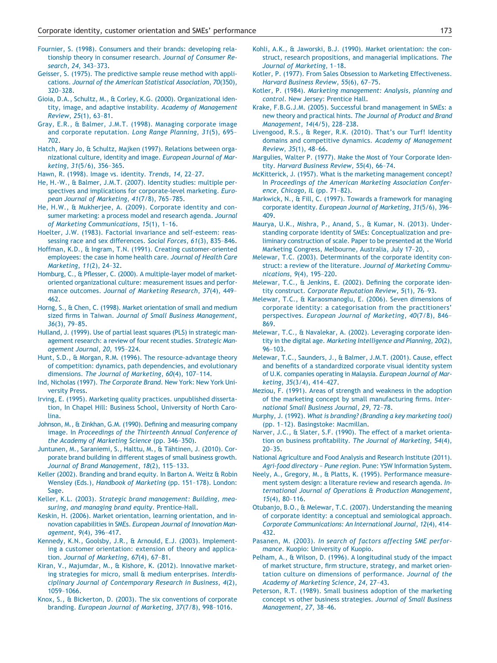Fournier, S. (1998). Consumers and their brands: developing relationship theory in consumer research. *Journal of Consumer Research*, *24*, 343–373.

- Geisser, S. (1975). The predictive sample reuse method with applications. *Journal of the American Statistical Association*, *70*(350), 320–328.
- Gioia, D.A., Schultz, M., & Corley, K.G. (2000). Organizational identity, image, and adaptive instability. *Academy of Management Review*, *25*(1), 63–81.
- Gray, E.R., & Balmer, J.M.T. (1998). Managing corporate image and corporate reputation. *Long Range Planning*, *31*(5), 695– 702.
- Hatch, Mary Jo, & Schultz, Majken (1997). Relations between organizational culture, identity and image. *European Journal of Marketing*, *31*(5/6), 356–365.
- Hawn, R. (1998). Image vs. identity. *Trends*, *14*, 22–27.
- He, H.-W., & Balmer, J.M.T. (2007). Identity studies: multiple perspectives and implications for corporate-level marketing. *European Journal of Marketing*, *41*(7/8), 765–785.
- He, H.W., & Mukherjee, A. (2009). Corporate identity and consumer marketing: a process model and research agenda. *Journal of Marketing Communications*, *15*(1), 1–16.
- Hoelter, J.W. (1983). Factorial invariance and self-esteem: reassessing race and sex differences. *Social Forces*, *61*(3), 835–846.
- Hoffman, K.D., & Ingram, T.N. (1991). Creating customer-oriented employees: the case in home health care. *Journal of Health Care Marketing*, *11*(2), 24–32.
- Homburg, C., & Pflesser, C. (2000). A multiple-layer model of marketoriented organizational culture: measurement issues and performance outcomes. *Journal of Marketing Research*, *37*(4), 449– 462.
- Horng, S., & Chen, C. (1998). Market orientation of small and medium sized firms in Taiwan. *Journal of Small Business Management*, *36*(3), 79–85.
- Hulland, J. (1999). Use of partial least squares (PLS) in strategic management research: a review of four recent studies. *Strategic Management Journal*, *20*, 195–224.
- Hunt, S.D., & Morgan, R.M. (1996). The resource-advantage theory of competition: dynamics, path dependencies, and evolutionary dimensions. *The Journal of Marketing*, *60*(4), 107–114.
- Ind, Nicholas (1997). *The Corporate Brand*. New York: New York University Press.
- Irving, E. (1995). Marketing quality practices. unpublished dissertation, In Chapel Hill: Business School, University of North Carolina.
- Johnson, M., & Zinkhan, G.M. (1990). Defining and measuring company image. In *Proceedings of the Thirteenth Annual Conference of the Academy of Marketing Science* (pp. 346–350).
- Juntunen, M., Saraniemi, S., Halttu, M., & Tähtinen, J. (2010). Corporate brand building in different stages of small business growth. *Journal of Brand Management*, *18*(2), 115–133.
- Keller (2002). Branding and brand equity. In Barton A. Weitz & Robin Wensley (Eds.), *Handbook of Marketing* (pp. 151–178). London: Sage.
- Keller, K.L. (2003). *Strategic brand management: Building, measuring, and managing brand equity*. Prentice-Hall.
- Keskin, H. (2006). Market orientation, learning orientation, and innovation capabilities in SMEs. *European Journal of Innovation Management*, *9*(4), 396–417.
- Kennedy, K.N., Goolsby, J.R., & Arnould, E.J. (2003). Implementing a customer orientation: extension of theory and application. *Journal of Marketing*, *67*(4), 67–81.
- Kiran, V., Majumdar, M., & Kishore, K. (2012). Innovative marketing strategies for micro, small & medium enterprises. *Interdisciplinary Journal of Contemporary Research in Business*, *4*(2), 1059–1066.
- Knox, S., & Bickerton, D. (2003). The six conventions of corporate branding. *European Journal of Marketing*, *37*(7/8), 998–1016.
- Kohli, A.K., & Jaworski, B.J. (1990). Market orientation: the construct, research propositions, and managerial implications. *The Journal of Marketing*, 1–18.
- Kotler, P. (1977). From Sales Obsession to Marketing Effectiveness. *Harvard Business Review*, *55*(6), 67–75.
- Kotler, P. (1984). *Marketing management: Analysis, planning and control*. New Jersey: Prentice Hall.
- Krake, F.B.G.J.M. (2005). Successful brand management in SMEs: a new theory and practical hints. *The Journal of Product and Brand Management*, *14*(4/5), 228–238.
- Livengood, R.S., & Reger, R.K. (2010). That's our Turf! Identity domains and competitive dynamics. *Academy of Management Review*, *35*(1), 48–66.
- Margulies, Walter P. (1977). Make the Most of Your Corporate Identity. *Harvard Business Review*, *55*(4), 66–74.
- McKitterick, J. (1957). What is the marketing management concept? In *Proceedings of the American Marketing Association Conference, Chicago, IL* (pp. 71–82).
- Markwick, N., & Fill, C. (1997). Towards a framework for managing corporate identity. *European Journal of Marketing*, *31*(5/6), 396– 409.
- Maurya, U.K., Mishra, P., Anand, S., & Kumar, N. (2013). Understanding corporate identity of SMEs: Conceptualization and preliminary construction of scale. Paper to be presented at the World Marketing Congress, Melbourne, Australia, July 17–20, .
- Melewar, T.C. (2003). Determinants of the corporate identity construct: a review of the literature. *Journal of Marketing Communications*, *9*(4), 195–220.
- Melewar, T.C., & Jenkins, E. (2002). Defining the corporate identity construct. *Corporate Reputation Review*, *5*(1), 76–93.
- Melewar, T.C., & Karaosmanoglu, E. (2006). Seven dimensions of corporate identity: a categorisation from the practitioners' perspectives. *European Journal of Marketing*, *40*(7/8), 846– 869.
- Melewar, T.C., & Navalekar, A. (2002). Leveraging corporate identity in the digital age. *Marketing Intelligence and Planning*, *20*(2), 96–103.
- Melewar, T.C., Saunders, J., & Balmer, J.M.T. (2001). Cause, effect and benefits of a standardized corporate visual identity system of U.K. companies operating in Malaysia. *European Journal of Marketing*, *35*(3/4), 414–427.
- Meziou, F. (1991). Areas of strength and weakness in the adoption of the marketing concept by small manufacturing firms. *International Small Business Journal*, *29*, 72–78.
- Murphy, J. (1992). *What is branding? (Branding a key marketing tool)* (pp. 1–12). Basingstoke: Macmillan.
- Narver, J.C., & Slater, S.F. (1990). The effect of a market orientation on business profitability. *The Journal of Marketing*, *54*(4), 20–35.
- National Agriculture and Food Analysis and Research Institute (2011). *Agri-food directory – Pune region*. Pune: YSW Information System.
- Neely, A., Gregory, M., & Platts, K. (1995). Performance measurement system design: a literature review and research agenda. *International Journal of Operations & Production Management*, *15*(4), 80–116.
- Otubanjo, B.O., & Melewar, T.C. (2007). Understanding the meaning of corporate identity: a conceptual and semiological approach. *Corporate Communications: An International Journal*, *12*(4), 414– 432.
- Pasanen, M. (2003). *In search of factors affecting SME performance*. Kuopio: University of Kuopio.
- Pelham, A., & Wilson, D. (1996). A longitudinal study of the impact of market structure, firm structure, strategy, and market orientation culture on dimensions of performance. *Journal of the Academy of Marketing Science*, *24*, 27–43.
- Peterson, R.T. (1989). Small business adoption of the marketing concept vs other business strategies. *Journal of Small Business Management*, *27*, 38–46.